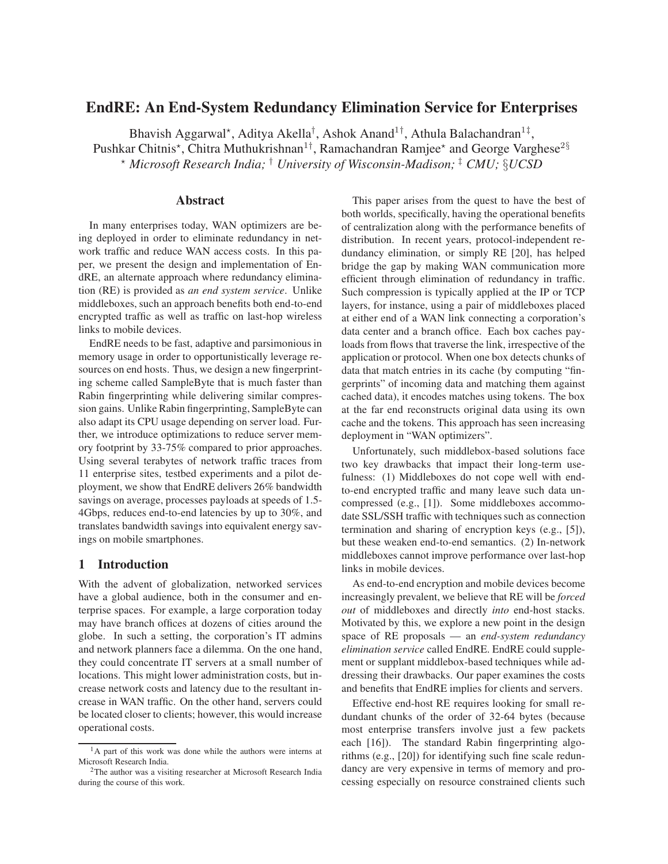# **EndRE: An End-System Redundancy Elimination Service for Enterprises**

Bhavish Aggarwal\*, Aditya Akella<sup>†</sup>, Ashok Anand<sup>1†</sup>, Athula Balachandran<sup>1‡</sup>, Pushkar Chitnis\*, Chitra Muthukrishnan<sup>1†</sup>, Ramachandran Ramjee\* and George Varghese<sup>2§</sup> <sup>⋆</sup> *Microsoft Research India;* † *University of Wisconsin-Madison;* ‡ *CMU;* §*UCSD*

## **Abstract**

In many enterprises today, WAN optimizers are being deployed in order to eliminate redundancy in network traffic and reduce WAN access costs. In this paper, we present the design and implementation of EndRE, an alternate approach where redundancy elimination (RE) is provided as *an end system service*. Unlike middleboxes, such an approach benefits both end-to-end encrypted traffic as well as traffic on last-hop wireless links to mobile devices.

EndRE needs to be fast, adaptive and parsimonious in memory usage in order to opportunistically leverage resources on end hosts. Thus, we design a new fingerprinting scheme called SampleByte that is much faster than Rabin fingerprinting while delivering similar compression gains. Unlike Rabin fingerprinting, SampleByte can also adapt its CPU usage depending on server load. Further, we introduce optimizations to reduce server memory footprint by 33-75% compared to prior approaches. Using several terabytes of network traffic traces from 11 enterprise sites, testbed experiments and a pilot deployment, we show that EndRE delivers 26% bandwidth savings on average, processes payloads at speeds of 1.5- 4Gbps, reduces end-to-end latencies by up to 30%, and translates bandwidth savings into equivalent energy savings on mobile smartphones.

## **1 Introduction**

With the advent of globalization, networked services have a global audience, both in the consumer and enterprise spaces. For example, a large corporation today may have branch offices at dozens of cities around the globe. In such a setting, the corporation's IT admins and network planners face a dilemma. On the one hand, they could concentrate IT servers at a small number of locations. This might lower administration costs, but increase network costs and latency due to the resultant increase in WAN traffic. On the other hand, servers could be located closer to clients; however, this would increase operational costs.

This paper arises from the quest to have the best of both worlds, specifically, having the operational benefits of centralization along with the performance benefits of distribution. In recent years, protocol-independent redundancy elimination, or simply RE [20], has helped bridge the gap by making WAN communication more efficient through elimination of redundancy in traffic. Such compression is typically applied at the IP or TCP layers, for instance, using a pair of middleboxes placed at either end of a WAN link connecting a corporation's data center and a branch office. Each box caches payloads from flows that traverse the link, irrespective of the application or protocol. When one box detects chunks of data that match entries in its cache (by computing "fingerprints" of incoming data and matching them against cached data), it encodes matches using tokens. The box at the far end reconstructs original data using its own cache and the tokens. This approach has seen increasing deployment in "WAN optimizers".

Unfortunately, such middlebox-based solutions face two key drawbacks that impact their long-term usefulness: (1) Middleboxes do not cope well with endto-end encrypted traffic and many leave such data uncompressed (e.g., [1]). Some middleboxes accommodate SSL/SSH traffic with techniques such as connection termination and sharing of encryption keys (e.g., [5]), but these weaken end-to-end semantics. (2) In-network middleboxes cannot improve performance over last-hop links in mobile devices.

As end-to-end encryption and mobile devices become increasingly prevalent, we believe that RE will be *forced out* of middleboxes and directly *into* end-host stacks. Motivated by this, we explore a new point in the design space of RE proposals — an *end-system redundancy elimination service* called EndRE. EndRE could supplement or supplant middlebox-based techniques while addressing their drawbacks. Our paper examines the costs and benefits that EndRE implies for clients and servers.

Effective end-host RE requires looking for small redundant chunks of the order of 32-64 bytes (because most enterprise transfers involve just a few packets each [16]). The standard Rabin fingerprinting algorithms (e.g., [20]) for identifying such fine scale redundancy are very expensive in terms of memory and processing especially on resource constrained clients such

<sup>&</sup>lt;sup>1</sup>A part of this work was done while the authors were interns at Microsoft Research India.

<sup>2</sup>The author was a visiting researcher at Microsoft Research India during the course of this work.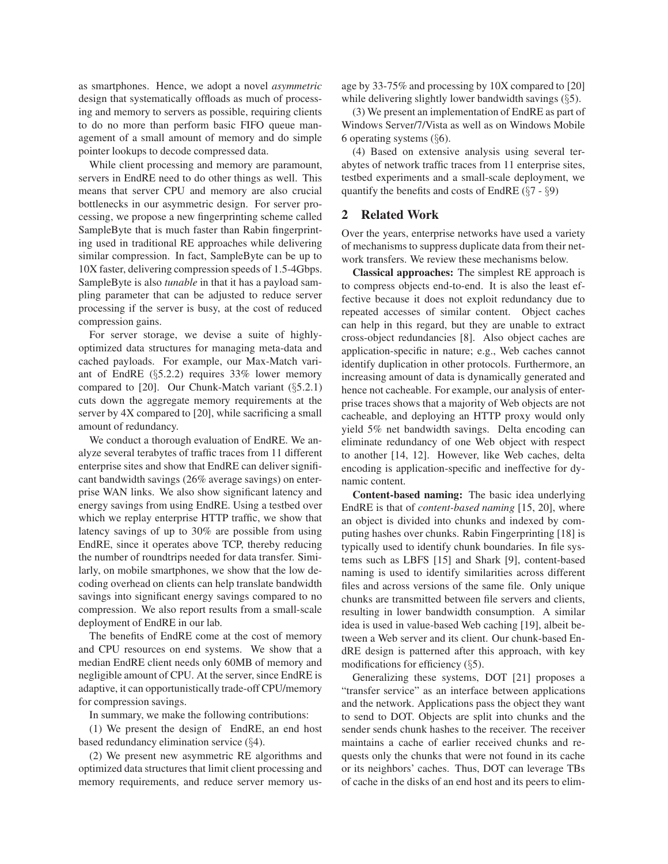as smartphones. Hence, we adopt a novel *asymmetric* design that systematically offloads as much of processing and memory to servers as possible, requiring clients to do no more than perform basic FIFO queue management of a small amount of memory and do simple pointer lookups to decode compressed data.

While client processing and memory are paramount, servers in EndRE need to do other things as well. This means that server CPU and memory are also crucial bottlenecks in our asymmetric design. For server processing, we propose a new fingerprinting scheme called SampleByte that is much faster than Rabin fingerprinting used in traditional RE approaches while delivering similar compression. In fact, SampleByte can be up to 10X faster, delivering compression speeds of 1.5-4Gbps. SampleByte is also *tunable* in that it has a payload sampling parameter that can be adjusted to reduce server processing if the server is busy, at the cost of reduced compression gains.

For server storage, we devise a suite of highlyoptimized data structures for managing meta-data and cached payloads. For example, our Max-Match variant of EndRE (§5.2.2) requires 33% lower memory compared to [20]. Our Chunk-Match variant (§5.2.1) cuts down the aggregate memory requirements at the server by 4X compared to [20], while sacrificing a small amount of redundancy.

We conduct a thorough evaluation of EndRE. We analyze several terabytes of traffic traces from 11 different enterprise sites and show that EndRE can deliver significant bandwidth savings (26% average savings) on enterprise WAN links. We also show significant latency and energy savings from using EndRE. Using a testbed over which we replay enterprise HTTP traffic, we show that latency savings of up to 30% are possible from using EndRE, since it operates above TCP, thereby reducing the number of roundtrips needed for data transfer. Similarly, on mobile smartphones, we show that the low decoding overhead on clients can help translate bandwidth savings into significant energy savings compared to no compression. We also report results from a small-scale deployment of EndRE in our lab.

The benefits of EndRE come at the cost of memory and CPU resources on end systems. We show that a median EndRE client needs only 60MB of memory and negligible amount of CPU. At the server, since EndRE is adaptive, it can opportunistically trade-off CPU/memory for compression savings.

In summary, we make the following contributions:

(1) We present the design of EndRE, an end host based redundancy elimination service (§4).

(2) We present new asymmetric RE algorithms and optimized data structures that limit client processing and memory requirements, and reduce server memory usage by 33-75% and processing by 10X compared to [20] while delivering slightly lower bandwidth savings (§5).

(3) We present an implementation of EndRE as part of Windows Server/7/Vista as well as on Windows Mobile 6 operating systems (§6).

(4) Based on extensive analysis using several terabytes of network traffic traces from 11 enterprise sites, testbed experiments and a small-scale deployment, we quantify the benefits and costs of EndRE  $(\S7 - \S9)$ 

## **2 Related Work**

Over the years, enterprise networks have used a variety of mechanisms to suppress duplicate data from their network transfers. We review these mechanisms below.

**Classical approaches:** The simplest RE approach is to compress objects end-to-end. It is also the least effective because it does not exploit redundancy due to repeated accesses of similar content. Object caches can help in this regard, but they are unable to extract cross-object redundancies [8]. Also object caches are application-specific in nature; e.g., Web caches cannot identify duplication in other protocols. Furthermore, an increasing amount of data is dynamically generated and hence not cacheable. For example, our analysis of enterprise traces shows that a majority of Web objects are not cacheable, and deploying an HTTP proxy would only yield 5% net bandwidth savings. Delta encoding can eliminate redundancy of one Web object with respect to another [14, 12]. However, like Web caches, delta encoding is application-specific and ineffective for dynamic content.

**Content-based naming:** The basic idea underlying EndRE is that of *content-based naming* [15, 20], where an object is divided into chunks and indexed by computing hashes over chunks. Rabin Fingerprinting [18] is typically used to identify chunk boundaries. In file systems such as LBFS [15] and Shark [9], content-based naming is used to identify similarities across different files and across versions of the same file. Only unique chunks are transmitted between file servers and clients, resulting in lower bandwidth consumption. A similar idea is used in value-based Web caching [19], albeit between a Web server and its client. Our chunk-based EndRE design is patterned after this approach, with key modifications for efficiency (§5).

Generalizing these systems, DOT [21] proposes a "transfer service" as an interface between applications and the network. Applications pass the object they want to send to DOT. Objects are split into chunks and the sender sends chunk hashes to the receiver. The receiver maintains a cache of earlier received chunks and requests only the chunks that were not found in its cache or its neighbors' caches. Thus, DOT can leverage TBs of cache in the disks of an end host and its peers to elim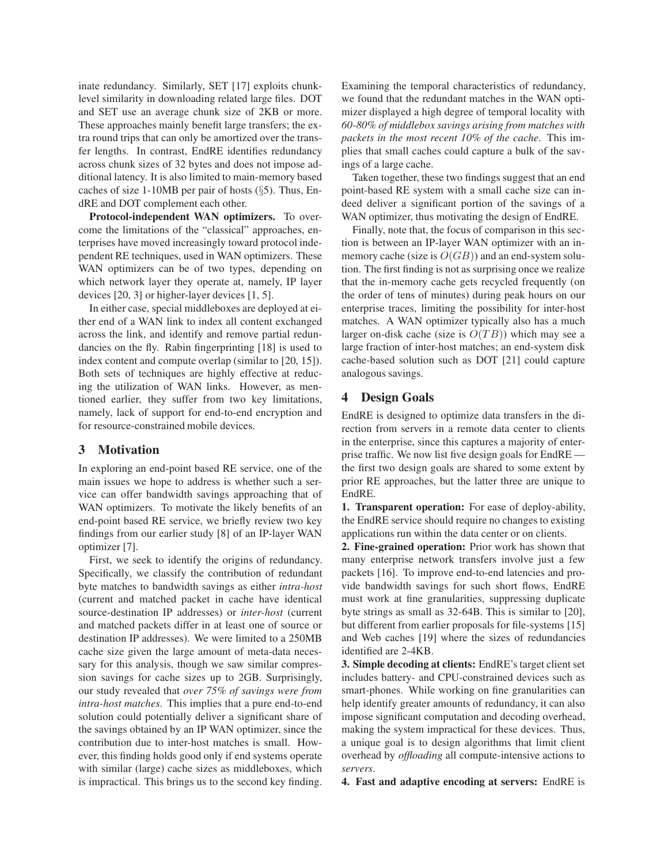inate redundancy. Similarly, SET [17] exploits chunklevel similarity in downloading related large files. DOT and SET use an average chunk size of 2KB or more. These approaches mainly benefit large transfers; the extra round trips that can only be amortized over the transfer lengths. In contrast, EndRE identifies redundancy across chunk sizes of 32 bytes and does not impose additional latency. It is also limited to main-memory based caches of size 1-10MB per pair of hosts  $(\S 5)$ . Thus, EndRE and DOT complement each other.

**Protocol-independent WAN optimizers.** To overcome the limitations of the "classical" approaches, enterprises have moved increasingly toward protocol independent RE techniques, used in WAN optimizers. These WAN optimizers can be of two types, depending on which network layer they operate at, namely, IP layer devices [20, 3] or higher-layer devices [1, 5].

In either case, special middleboxes are deployed at either end of a WAN link to index all content exchanged across the link, and identify and remove partial redundancies on the fly. Rabin fingerprinting [18] is used to index content and compute overlap (similar to [20, 15]). Both sets of techniques are highly effective at reducing the utilization of WAN links. However, as mentioned earlier, they suffer from two key limitations, namely, lack of support for end-to-end encryption and for resource-constrained mobile devices.

## **3 Motivation**

In exploring an end-point based RE service, one of the main issues we hope to address is whether such a service can offer bandwidth savings approaching that of WAN optimizers. To motivate the likely benefits of an end-point based RE service, we briefly review two key findings from our earlier study [8] of an IP-layer WAN optimizer [7].

First, we seek to identify the origins of redundancy. Specifically, we classify the contribution of redundant byte matches to bandwidth savings as either *intra-host* (current and matched packet in cache have identical source-destination IP addresses) or *inter-host* (current and matched packets differ in at least one of source or destination IP addresses). We were limited to a 250MB cache size given the large amount of meta-data necessary for this analysis, though we saw similar compression savings for cache sizes up to 2GB. Surprisingly, our study revealed that *over 75% of savings were from intra-host matches*. This implies that a pure end-to-end solution could potentially deliver a significant share of the savings obtained by an IP WAN optimizer, since the contribution due to inter-host matches is small. However, this finding holds good only if end systems operate with similar (large) cache sizes as middleboxes, which is impractical. This brings us to the second key finding. Examining the temporal characteristics of redundancy, we found that the redundant matches in the WAN optimizer displayed a high degree of temporal locality with *60-80% of middlebox savings arising from matches with packets in the most recent 10% of the cache*. This implies that small caches could capture a bulk of the savings of a large cache.

Taken together, these two findings suggest that an end point-based RE system with a small cache size can indeed deliver a significant portion of the savings of a WAN optimizer, thus motivating the design of EndRE.

Finally, note that, the focus of comparison in this section is between an IP-layer WAN optimizer with an inmemory cache (size is  $O(GB)$ ) and an end-system solution. The first finding is not as surprising once we realize that the in-memory cache gets recycled frequently (on the order of tens of minutes) during peak hours on our enterprise traces, limiting the possibility for inter-host matches. A WAN optimizer typically also has a much larger on-disk cache (size is  $O(TB)$ ) which may see a large fraction of inter-host matches; an end-system disk cache-based solution such as DOT [21] could capture analogous savings.

#### **4 Design Goals**

EndRE is designed to optimize data transfers in the direction from servers in a remote data center to clients in the enterprise, since this captures a majority of enterprise traffic. We now list five design goals for EndRE the first two design goals are shared to some extent by prior RE approaches, but the latter three are unique to EndRE.

**1. Transparent operation:** For ease of deploy-ability, the EndRE service should require no changes to existing applications run within the data center or on clients.

**2. Fine-grained operation:** Prior work has shown that many enterprise network transfers involve just a few packets [16]. To improve end-to-end latencies and provide bandwidth savings for such short flows, EndRE must work at fine granularities, suppressing duplicate byte strings as small as 32-64B. This is similar to [20], but different from earlier proposals for file-systems [15] and Web caches [19] where the sizes of redundancies identified are 2-4KB.

**3. Simple decoding at clients:** EndRE's target client set includes battery- and CPU-constrained devices such as smart-phones. While working on fine granularities can help identify greater amounts of redundancy, it can also impose significant computation and decoding overhead, making the system impractical for these devices. Thus, a unique goal is to design algorithms that limit client overhead by *offloading* all compute-intensive actions to *servers*.

**4. Fast and adaptive encoding at servers:** EndRE is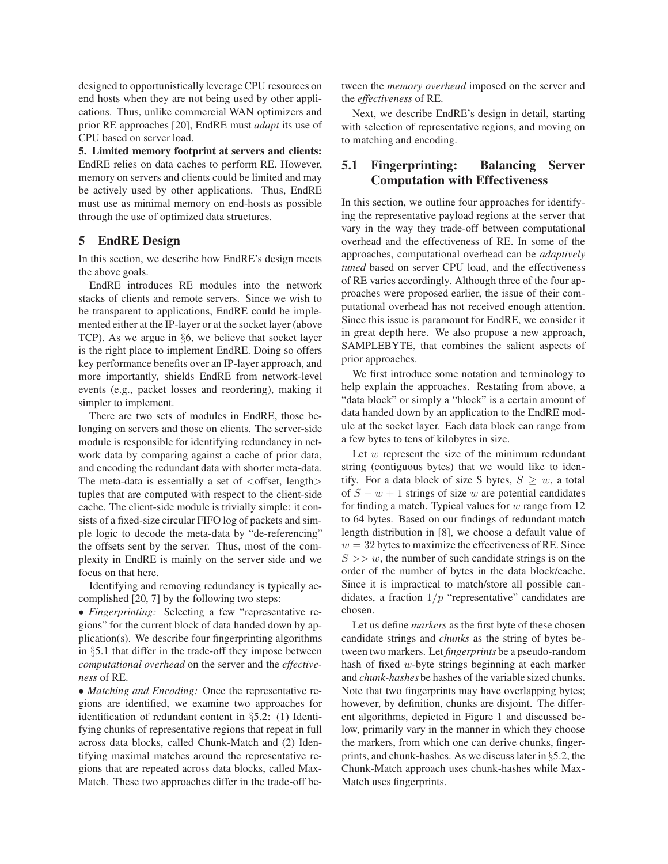designed to opportunistically leverage CPU resources on end hosts when they are not being used by other applications. Thus, unlike commercial WAN optimizers and prior RE approaches [20], EndRE must *adapt* its use of CPU based on server load.

**5. Limited memory footprint at servers and clients:** EndRE relies on data caches to perform RE. However, memory on servers and clients could be limited and may be actively used by other applications. Thus, EndRE must use as minimal memory on end-hosts as possible through the use of optimized data structures.

## **5 EndRE Design**

In this section, we describe how EndRE's design meets the above goals.

EndRE introduces RE modules into the network stacks of clients and remote servers. Since we wish to be transparent to applications, EndRE could be implemented either at the IP-layer or at the socket layer (above TCP). As we argue in §6, we believe that socket layer is the right place to implement EndRE. Doing so offers key performance benefits over an IP-layer approach, and more importantly, shields EndRE from network-level events (e.g., packet losses and reordering), making it simpler to implement.

There are two sets of modules in EndRE, those belonging on servers and those on clients. The server-side module is responsible for identifying redundancy in network data by comparing against a cache of prior data, and encoding the redundant data with shorter meta-data. The meta-data is essentially a set of  $\langle$  offset, length $\rangle$ tuples that are computed with respect to the client-side cache. The client-side module is trivially simple: it consists of a fixed-size circular FIFO log of packets and simple logic to decode the meta-data by "de-referencing" the offsets sent by the server. Thus, most of the complexity in EndRE is mainly on the server side and we focus on that here.

Identifying and removing redundancy is typically accomplished [20, 7] by the following two steps:

• *Fingerprinting:* Selecting a few "representative regions" for the current block of data handed down by application(s). We describe four fingerprinting algorithms in §5.1 that differ in the trade-off they impose between *computational overhead* on the server and the *effectiveness* of RE.

• *Matching and Encoding:* Once the representative regions are identified, we examine two approaches for identification of redundant content in §5.2: (1) Identifying chunks of representative regions that repeat in full across data blocks, called Chunk-Match and (2) Identifying maximal matches around the representative regions that are repeated across data blocks, called Max-Match. These two approaches differ in the trade-off between the *memory overhead* imposed on the server and the *effectiveness* of RE.

Next, we describe EndRE's design in detail, starting with selection of representative regions, and moving on to matching and encoding.

# **5.1 Fingerprinting: Balancing Server Computation with Effectiveness**

In this section, we outline four approaches for identifying the representative payload regions at the server that vary in the way they trade-off between computational overhead and the effectiveness of RE. In some of the approaches, computational overhead can be *adaptively tuned* based on server CPU load, and the effectiveness of RE varies accordingly. Although three of the four approaches were proposed earlier, the issue of their computational overhead has not received enough attention. Since this issue is paramount for EndRE, we consider it in great depth here. We also propose a new approach, SAMPLEBYTE, that combines the salient aspects of prior approaches.

We first introduce some notation and terminology to help explain the approaches. Restating from above, a "data block" or simply a "block" is a certain amount of data handed down by an application to the EndRE module at the socket layer. Each data block can range from a few bytes to tens of kilobytes in size.

Let  $w$  represent the size of the minimum redundant string (contiguous bytes) that we would like to identify. For a data block of size S bytes,  $S \geq w$ , a total of  $S - w + 1$  strings of size w are potential candidates for finding a match. Typical values for  $w$  range from 12 to 64 bytes. Based on our findings of redundant match length distribution in [8], we choose a default value of  $w = 32$  bytes to maximize the effectiveness of RE. Since  $S \gg w$ , the number of such candidate strings is on the order of the number of bytes in the data block/cache. Since it is impractical to match/store all possible candidates, a fraction  $1/p$  "representative" candidates are chosen.

Let us define *markers* as the first byte of these chosen candidate strings and *chunks* as the string of bytes between two markers. Let *fingerprints* be a pseudo-random hash of fixed w-byte strings beginning at each marker and *chunk-hashes* be hashes of the variable sized chunks. Note that two fingerprints may have overlapping bytes; however, by definition, chunks are disjoint. The different algorithms, depicted in Figure 1 and discussed below, primarily vary in the manner in which they choose the markers, from which one can derive chunks, fingerprints, and chunk-hashes. As we discuss later in §5.2, the Chunk-Match approach uses chunk-hashes while Max-Match uses fingerprints.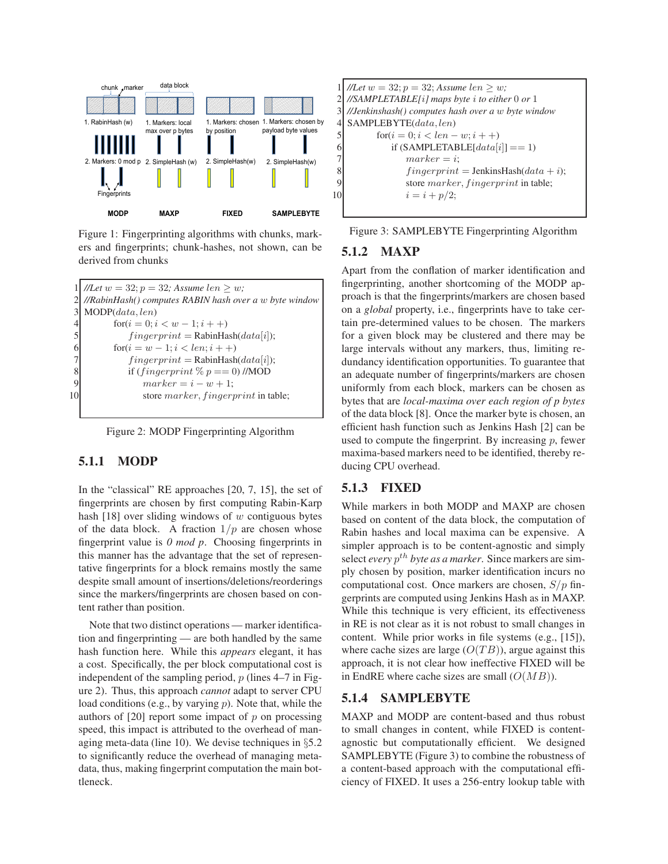

Figure 1: Fingerprinting algorithms with chunks, markers and fingerprints; chunk-hashes, not shown, can be derived from chunks

```
//Let w = 32; p = 32; Assume len > w;2 //RabinHash() computes RABIN hash over a w byte window
MODP(data,len)for(i = 0; i < w - 1; i++)fingerprint = \text{RabinHash}(data[i]);for (i = w - 1; i < len; i++)fingerprint = \text{RabinHash}(data[i]);if (fingerprint \% p == 0) //MOD
             marker = i - w + 1;10 store marker, fingerprint in table;
```
Figure 2: MODP Fingerprinting Algorithm

# **5.1.1 MODP**

In the "classical" RE approaches [20, 7, 15], the set of fingerprints are chosen by first computing Rabin-Karp hash  $[18]$  over sliding windows of w contiguous bytes of the data block. A fraction  $1/p$  are chosen whose fingerprint value is *0 mod p*. Choosing fingerprints in this manner has the advantage that the set of representative fingerprints for a block remains mostly the same despite small amount of insertions/deletions/reorderings since the markers/fingerprints are chosen based on content rather than position.

Note that two distinct operations — marker identification and fingerprinting — are both handled by the same hash function here. While this *appears* elegant, it has a cost. Specifically, the per block computational cost is independent of the sampling period,  $p$  (lines 4–7 in Figure 2). Thus, this approach *cannot* adapt to server CPU load conditions (e.g., by varying  $p$ ). Note that, while the authors of  $[20]$  report some impact of p on processing speed, this impact is attributed to the overhead of managing meta-data (line 10). We devise techniques in §5.2 to significantly reduce the overhead of managing metadata, thus, making fingerprint computation the main bottleneck.

 $//Let w = 32; p = 32; Assume len \geq w;$ 2 *//SAMPLETABLE[*i*] maps byte* i *to either* 0 *or* 1 3 *//Jenkinshash() computes hash over a* w *byte window* 4 SAMPLEBYTE(data, len) 5  $f(x_i = 0; i < len - w; i + 1)$ 6 if  $(SAMPLETABLE[data[i]] == 1)$  $7$  marker = i: 8 fingerprint = JenkinsHash(data + i); 9 store marker, fingerprint in table; 10  $i = i + p/2;$ 

Figure 3: SAMPLEBYTE Fingerprinting Algorithm

## **5.1.2 MAXP**

Apart from the conflation of marker identification and fingerprinting, another shortcoming of the MODP approach is that the fingerprints/markers are chosen based on a *global* property, i.e., fingerprints have to take certain pre-determined values to be chosen. The markers for a given block may be clustered and there may be large intervals without any markers, thus, limiting redundancy identification opportunities. To guarantee that an adequate number of fingerprints/markers are chosen uniformly from each block, markers can be chosen as bytes that are *local-maxima over each region of p bytes* of the data block [8]. Once the marker byte is chosen, an efficient hash function such as Jenkins Hash [2] can be used to compute the fingerprint. By increasing  $p$ , fewer maxima-based markers need to be identified, thereby reducing CPU overhead.

## **5.1.3 FIXED**

While markers in both MODP and MAXP are chosen based on content of the data block, the computation of Rabin hashes and local maxima can be expensive. A simpler approach is to be content-agnostic and simply select *every*  $p^{th}$  *byte as a marker*. Since markers are simply chosen by position, marker identification incurs no computational cost. Once markers are chosen,  $S/p$  fingerprints are computed using Jenkins Hash as in MAXP. While this technique is very efficient, its effectiveness in RE is not clear as it is not robust to small changes in content. While prior works in file systems (e.g., [15]), where cache sizes are large  $(O(TB))$ , argue against this approach, it is not clear how ineffective FIXED will be in EndRE where cache sizes are small  $(O(MB))$ .

## **5.1.4 SAMPLEBYTE**

MAXP and MODP are content-based and thus robust to small changes in content, while FIXED is contentagnostic but computationally efficient. We designed SAMPLEBYTE (Figure 3) to combine the robustness of a content-based approach with the computational efficiency of FIXED. It uses a 256-entry lookup table with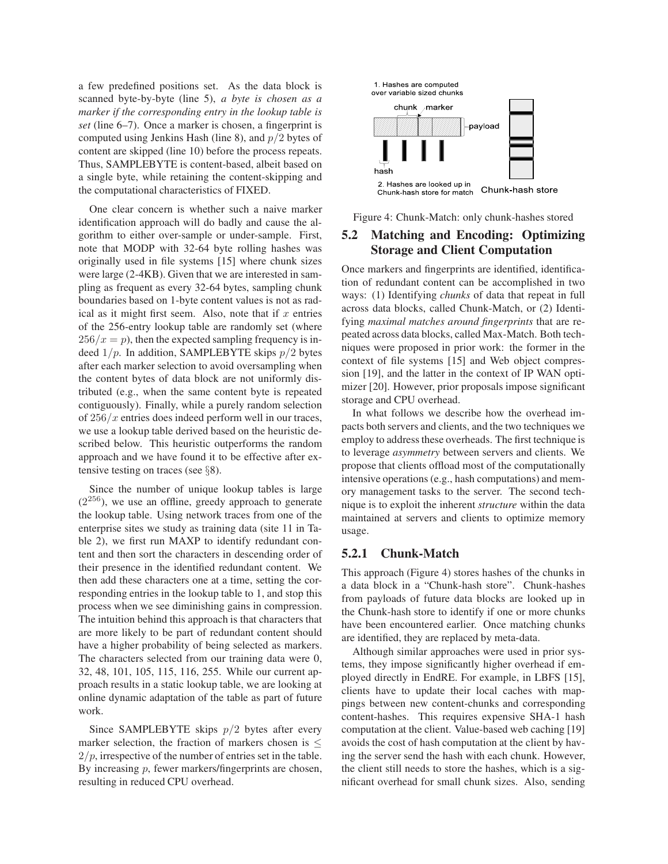a few predefined positions set. As the data block is scanned byte-by-byte (line 5), *a byte is chosen as a marker if the corresponding entry in the lookup table is set* (line 6–7). Once a marker is chosen, a fingerprint is computed using Jenkins Hash (line 8), and  $p/2$  bytes of content are skipped (line 10) before the process repeats. Thus, SAMPLEBYTE is content-based, albeit based on a single byte, while retaining the content-skipping and the computational characteristics of FIXED.

One clear concern is whether such a naive marker identification approach will do badly and cause the algorithm to either over-sample or under-sample. First, note that MODP with 32-64 byte rolling hashes was originally used in file systems [15] where chunk sizes were large (2-4KB). Given that we are interested in sampling as frequent as every 32-64 bytes, sampling chunk boundaries based on 1-byte content values is not as radical as it might first seem. Also, note that if  $x$  entries of the 256-entry lookup table are randomly set (where  $256/x = p$ , then the expected sampling frequency is indeed  $1/p$ . In addition, SAMPLEBYTE skips  $p/2$  bytes after each marker selection to avoid oversampling when the content bytes of data block are not uniformly distributed (e.g., when the same content byte is repeated contiguously). Finally, while a purely random selection of  $256/x$  entries does indeed perform well in our traces, we use a lookup table derived based on the heuristic described below. This heuristic outperforms the random approach and we have found it to be effective after extensive testing on traces (see  $\S$ 8).

Since the number of unique lookup tables is large  $(2^{256})$ , we use an offline, greedy approach to generate the lookup table. Using network traces from one of the enterprise sites we study as training data (site 11 in Table 2), we first run MAXP to identify redundant content and then sort the characters in descending order of their presence in the identified redundant content. We then add these characters one at a time, setting the corresponding entries in the lookup table to 1, and stop this process when we see diminishing gains in compression. The intuition behind this approach is that characters that are more likely to be part of redundant content should have a higher probability of being selected as markers. The characters selected from our training data were 0, 32, 48, 101, 105, 115, 116, 255. While our current approach results in a static lookup table, we are looking at online dynamic adaptation of the table as part of future work.

Since SAMPLEBYTE skips  $p/2$  bytes after every marker selection, the fraction of markers chosen is  $\leq$  $2/p$ , irrespective of the number of entries set in the table. By increasing  $p$ , fewer markers/fingerprints are chosen, resulting in reduced CPU overhead.



Figure 4: Chunk-Match: only chunk-hashes stored

# **5.2 Matching and Encoding: Optimizing Storage and Client Computation**

Once markers and fingerprints are identified, identification of redundant content can be accomplished in two ways: (1) Identifying *chunks* of data that repeat in full across data blocks, called Chunk-Match, or (2) Identifying *maximal matches around fingerprints* that are repeated across data blocks, called Max-Match. Both techniques were proposed in prior work: the former in the context of file systems [15] and Web object compression [19], and the latter in the context of IP WAN optimizer [20]. However, prior proposals impose significant storage and CPU overhead.

In what follows we describe how the overhead impacts both servers and clients, and the two techniques we employ to address these overheads. The first technique is to leverage *asymmetry* between servers and clients. We propose that clients offload most of the computationally intensive operations (e.g., hash computations) and memory management tasks to the server. The second technique is to exploit the inherent *structure* within the data maintained at servers and clients to optimize memory usage.

## **5.2.1 Chunk-Match**

This approach (Figure 4) stores hashes of the chunks in a data block in a "Chunk-hash store". Chunk-hashes from payloads of future data blocks are looked up in the Chunk-hash store to identify if one or more chunks have been encountered earlier. Once matching chunks are identified, they are replaced by meta-data.

Although similar approaches were used in prior systems, they impose significantly higher overhead if employed directly in EndRE. For example, in LBFS [15], clients have to update their local caches with mappings between new content-chunks and corresponding content-hashes. This requires expensive SHA-1 hash computation at the client. Value-based web caching [19] avoids the cost of hash computation at the client by having the server send the hash with each chunk. However, the client still needs to store the hashes, which is a significant overhead for small chunk sizes. Also, sending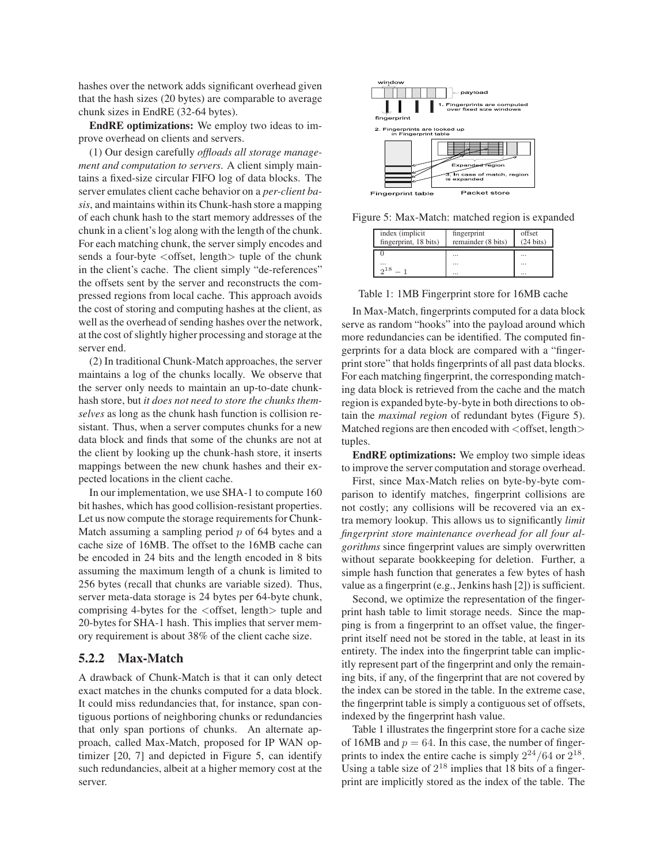hashes over the network adds significant overhead given that the hash sizes (20 bytes) are comparable to average chunk sizes in EndRE (32-64 bytes).

**EndRE optimizations:** We employ two ideas to improve overhead on clients and servers.

(1) Our design carefully *offloads all storage management and computation to servers*. A client simply maintains a fixed-size circular FIFO log of data blocks. The server emulates client cache behavior on a *per-client basis*, and maintains within its Chunk-hash store a mapping of each chunk hash to the start memory addresses of the chunk in a client's log along with the length of the chunk. For each matching chunk, the server simply encodes and sends a four-byte <offset, length> tuple of the chunk in the client's cache. The client simply "de-references" the offsets sent by the server and reconstructs the compressed regions from local cache. This approach avoids the cost of storing and computing hashes at the client, as well as the overhead of sending hashes over the network, at the cost of slightly higher processing and storage at the server end.

(2) In traditional Chunk-Match approaches, the server maintains a log of the chunks locally. We observe that the server only needs to maintain an up-to-date chunkhash store, but *it does not need to store the chunks themselves* as long as the chunk hash function is collision resistant. Thus, when a server computes chunks for a new data block and finds that some of the chunks are not at the client by looking up the chunk-hash store, it inserts mappings between the new chunk hashes and their expected locations in the client cache.

In our implementation, we use SHA-1 to compute 160 bit hashes, which has good collision-resistant properties. Let us now compute the storage requirements for Chunk-Match assuming a sampling period  $p$  of 64 bytes and a cache size of 16MB. The offset to the 16MB cache can be encoded in 24 bits and the length encoded in 8 bits assuming the maximum length of a chunk is limited to 256 bytes (recall that chunks are variable sized). Thus, server meta-data storage is 24 bytes per 64-byte chunk, comprising 4-bytes for the  $\langle$  offset, length $\rangle$  tuple and 20-bytes for SHA-1 hash. This implies that server memory requirement is about 38% of the client cache size.

## **5.2.2 Max-Match**

A drawback of Chunk-Match is that it can only detect exact matches in the chunks computed for a data block. It could miss redundancies that, for instance, span contiguous portions of neighboring chunks or redundancies that only span portions of chunks. An alternate approach, called Max-Match, proposed for IP WAN optimizer [20, 7] and depicted in Figure 5, can identify such redundancies, albeit at a higher memory cost at the server.



Figure 5: Max-Match: matched region is expanded

| index (implicit)<br>fingerprint, 18 bits) | fingerprint<br>remainder (8 bits) | offset<br>$(24 \text{ bits})$ |
|-------------------------------------------|-----------------------------------|-------------------------------|
|                                           |                                   |                               |
| $\cdots$<br>0.18                          | $\cdots$                          | $\cdots$                      |
|                                           | $\cdots$                          |                               |

Table 1: 1MB Fingerprint store for 16MB cache

In Max-Match, fingerprints computed for a data block serve as random "hooks" into the payload around which more redundancies can be identified. The computed fingerprints for a data block are compared with a "fingerprint store" that holds fingerprints of all past data blocks. For each matching fingerprint, the corresponding matching data block is retrieved from the cache and the match region is expanded byte-by-byte in both directions to obtain the *maximal region* of redundant bytes (Figure 5). Matched regions are then encoded with  $\langle$  offset, length $\rangle$ tuples.

**EndRE optimizations:** We employ two simple ideas to improve the server computation and storage overhead.

First, since Max-Match relies on byte-by-byte comparison to identify matches, fingerprint collisions are not costly; any collisions will be recovered via an extra memory lookup. This allows us to significantly *limit fingerprint store maintenance overhead for all four algorithms* since fingerprint values are simply overwritten without separate bookkeeping for deletion. Further, a simple hash function that generates a few bytes of hash value as a fingerprint (e.g., Jenkins hash [2]) is sufficient.

Second, we optimize the representation of the fingerprint hash table to limit storage needs. Since the mapping is from a fingerprint to an offset value, the fingerprint itself need not be stored in the table, at least in its entirety. The index into the fingerprint table can implicitly represent part of the fingerprint and only the remaining bits, if any, of the fingerprint that are not covered by the index can be stored in the table. In the extreme case, the fingerprint table is simply a contiguous set of offsets, indexed by the fingerprint hash value.

Table 1 illustrates the fingerprint store for a cache size of 16MB and  $p = 64$ . In this case, the number of fingerprints to index the entire cache is simply  $2^{24}/64$  or  $2^{18}$ . Using a table size of  $2^{18}$  implies that 18 bits of a fingerprint are implicitly stored as the index of the table. The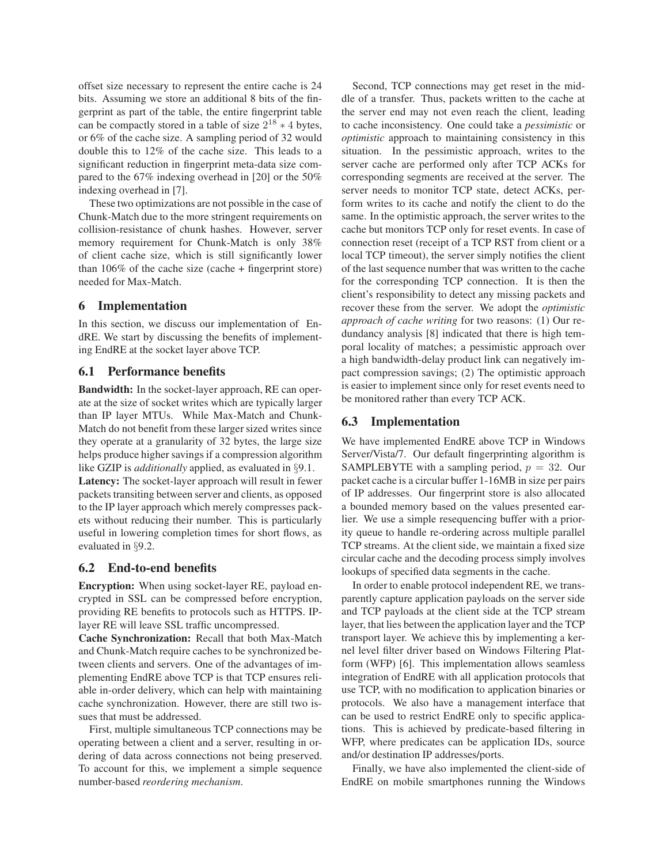offset size necessary to represent the entire cache is 24 bits. Assuming we store an additional 8 bits of the fingerprint as part of the table, the entire fingerprint table can be compactly stored in a table of size  $2^{18} * 4$  bytes, or 6% of the cache size. A sampling period of 32 would double this to 12% of the cache size. This leads to a significant reduction in fingerprint meta-data size compared to the 67% indexing overhead in [20] or the 50% indexing overhead in [7].

These two optimizations are not possible in the case of Chunk-Match due to the more stringent requirements on collision-resistance of chunk hashes. However, server memory requirement for Chunk-Match is only 38% of client cache size, which is still significantly lower than  $106\%$  of the cache size (cache + fingerprint store) needed for Max-Match.

## **6 Implementation**

In this section, we discuss our implementation of EndRE. We start by discussing the benefits of implementing EndRE at the socket layer above TCP.

## **6.1 Performance benefits**

**Bandwidth:** In the socket-layer approach, RE can operate at the size of socket writes which are typically larger than IP layer MTUs. While Max-Match and Chunk-Match do not benefit from these larger sized writes since they operate at a granularity of 32 bytes, the large size helps produce higher savings if a compression algorithm like GZIP is *additionally* applied, as evaluated in §9.1.

**Latency:** The socket-layer approach will result in fewer packets transiting between server and clients, as opposed to the IP layer approach which merely compresses packets without reducing their number. This is particularly useful in lowering completion times for short flows, as evaluated in §9.2.

#### **6.2 End-to-end benefits**

**Encryption:** When using socket-layer RE, payload encrypted in SSL can be compressed before encryption, providing RE benefits to protocols such as HTTPS. IPlayer RE will leave SSL traffic uncompressed.

**Cache Synchronization:** Recall that both Max-Match and Chunk-Match require caches to be synchronized between clients and servers. One of the advantages of implementing EndRE above TCP is that TCP ensures reliable in-order delivery, which can help with maintaining cache synchronization. However, there are still two issues that must be addressed.

First, multiple simultaneous TCP connections may be operating between a client and a server, resulting in ordering of data across connections not being preserved. To account for this, we implement a simple sequence number-based *reordering mechanism*.

Second, TCP connections may get reset in the middle of a transfer. Thus, packets written to the cache at the server end may not even reach the client, leading to cache inconsistency. One could take a *pessimistic* or *optimistic* approach to maintaining consistency in this situation. In the pessimistic approach, writes to the server cache are performed only after TCP ACKs for corresponding segments are received at the server. The server needs to monitor TCP state, detect ACKs, perform writes to its cache and notify the client to do the same. In the optimistic approach, the server writes to the cache but monitors TCP only for reset events. In case of connection reset (receipt of a TCP RST from client or a local TCP timeout), the server simply notifies the client of the last sequence number that was written to the cache for the corresponding TCP connection. It is then the client's responsibility to detect any missing packets and recover these from the server. We adopt the *optimistic approach of cache writing* for two reasons: (1) Our redundancy analysis [8] indicated that there is high temporal locality of matches; a pessimistic approach over a high bandwidth-delay product link can negatively impact compression savings; (2) The optimistic approach is easier to implement since only for reset events need to be monitored rather than every TCP ACK.

## **6.3 Implementation**

We have implemented EndRE above TCP in Windows Server/Vista/7. Our default fingerprinting algorithm is SAMPLEBYTE with a sampling period,  $p = 32$ . Our packet cache is a circular buffer 1-16MB in size per pairs of IP addresses. Our fingerprint store is also allocated a bounded memory based on the values presented earlier. We use a simple resequencing buffer with a priority queue to handle re-ordering across multiple parallel TCP streams. At the client side, we maintain a fixed size circular cache and the decoding process simply involves lookups of specified data segments in the cache.

In order to enable protocol independent RE, we transparently capture application payloads on the server side and TCP payloads at the client side at the TCP stream layer, that lies between the application layer and the TCP transport layer. We achieve this by implementing a kernel level filter driver based on Windows Filtering Platform (WFP) [6]. This implementation allows seamless integration of EndRE with all application protocols that use TCP, with no modification to application binaries or protocols. We also have a management interface that can be used to restrict EndRE only to specific applications. This is achieved by predicate-based filtering in WFP, where predicates can be application IDs, source and/or destination IP addresses/ports.

Finally, we have also implemented the client-side of EndRE on mobile smartphones running the Windows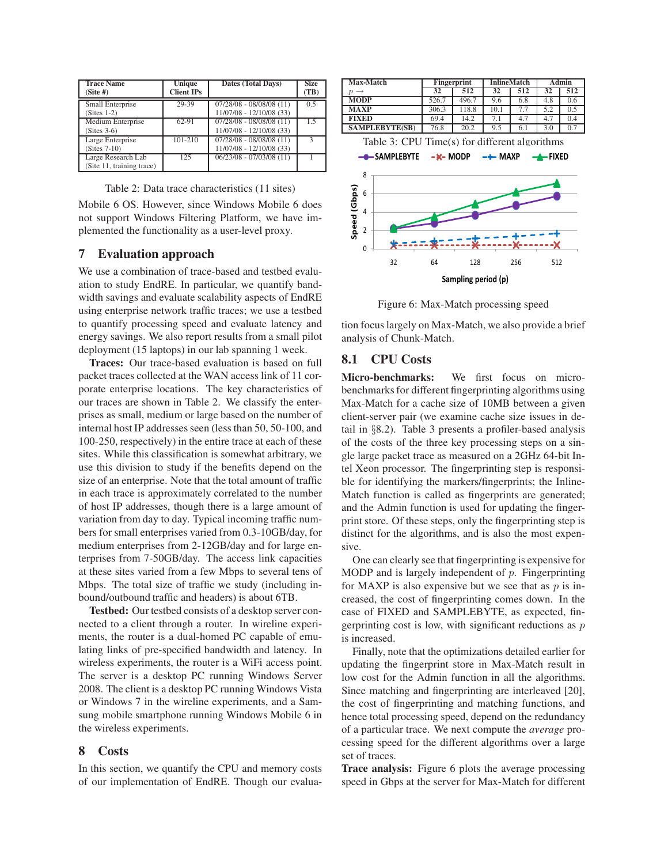| <b>Trace Name</b><br>$(Site \#)$                | Unique<br><b>Client IPs</b> | <b>Dates (Total Days)</b>                              | <b>Size</b><br>(TB) |
|-------------------------------------------------|-----------------------------|--------------------------------------------------------|---------------------|
| Small Enterprise<br>$(Stes 1-2)$                | 29-39                       | $07/28/08 - 08/08/08(11)$<br>11/07/08 - 12/10/08 (33)  | 0.5                 |
| Medium Enterprise<br>$(Stes 3-6)$               | 62-91                       | $07/28/08 - 08/08/08(11)$<br>11/07/08 - 12/10/08 (33)  | 15                  |
| Large Enterprise<br>$(Stes 7-10)$               | $101 - 210$                 | $07/28/08 - 08/08/08$ (11)<br>11/07/08 - 12/10/08 (33) |                     |
| Large Research Lab<br>(Site 11, training trace) | 125                         | $06/23/08 - 07/03/08$ (11)                             |                     |

Table 2: Data trace characteristics (11 sites)

Mobile 6 OS. However, since Windows Mobile 6 does not support Windows Filtering Platform, we have implemented the functionality as a user-level proxy.

## **7 Evaluation approach**

We use a combination of trace-based and testbed evaluation to study EndRE. In particular, we quantify bandwidth savings and evaluate scalability aspects of EndRE using enterprise network traffic traces; we use a testbed to quantify processing speed and evaluate latency and energy savings. We also report results from a small pilot deployment (15 laptops) in our lab spanning 1 week.

**Traces:** Our trace-based evaluation is based on full packet traces collected at the WAN access link of 11 corporate enterprise locations. The key characteristics of our traces are shown in Table 2. We classify the enterprises as small, medium or large based on the number of internal host IP addresses seen (less than 50, 50-100, and 100-250, respectively) in the entire trace at each of these sites. While this classification is somewhat arbitrary, we use this division to study if the benefits depend on the size of an enterprise. Note that the total amount of traffic in each trace is approximately correlated to the number of host IP addresses, though there is a large amount of variation from day to day. Typical incoming traffic numbers for small enterprises varied from 0.3-10GB/day, for medium enterprises from 2-12GB/day and for large enterprises from 7-50GB/day. The access link capacities at these sites varied from a few Mbps to several tens of Mbps. The total size of traffic we study (including inbound/outbound traffic and headers) is about 6TB.

**Testbed:** Our testbed consists of a desktop server connected to a client through a router. In wireline experiments, the router is a dual-homed PC capable of emulating links of pre-specified bandwidth and latency. In wireless experiments, the router is a WiFi access point. The server is a desktop PC running Windows Server 2008. The client is a desktop PC running Windows Vista or Windows 7 in the wireline experiments, and a Samsung mobile smartphone running Windows Mobile 6 in the wireless experiments.

#### **8 Costs**

In this section, we quantify the CPU and memory costs of our implementation of EndRE. Though our evalua-



Figure 6: Max-Match processing speed

tion focus largely on Max-Match, we also provide a brief analysis of Chunk-Match.

# **8.1 CPU Costs**

**Micro-benchmarks:** We first focus on microbenchmarks for different fingerprinting algorithms using Max-Match for a cache size of 10MB between a given client-server pair (we examine cache size issues in detail in §8.2). Table 3 presents a profiler-based analysis of the costs of the three key processing steps on a single large packet trace as measured on a 2GHz 64-bit Intel Xeon processor. The fingerprinting step is responsible for identifying the markers/fingerprints; the Inline-Match function is called as fingerprints are generated; and the Admin function is used for updating the fingerprint store. Of these steps, only the fingerprinting step is distinct for the algorithms, and is also the most expensive.

One can clearly see that fingerprinting is expensive for MODP and is largely independent of  $p$ . Fingerprinting for MAXP is also expensive but we see that as  $p$  is increased, the cost of fingerprinting comes down. In the case of FIXED and SAMPLEBYTE, as expected, fingerprinting cost is low, with significant reductions as  $p$ is increased.

Finally, note that the optimizations detailed earlier for updating the fingerprint store in Max-Match result in low cost for the Admin function in all the algorithms. Since matching and fingerprinting are interleaved [20], the cost of fingerprinting and matching functions, and hence total processing speed, depend on the redundancy of a particular trace. We next compute the *average* processing speed for the different algorithms over a large set of traces.

**Trace analysis:** Figure 6 plots the average processing speed in Gbps at the server for Max-Match for different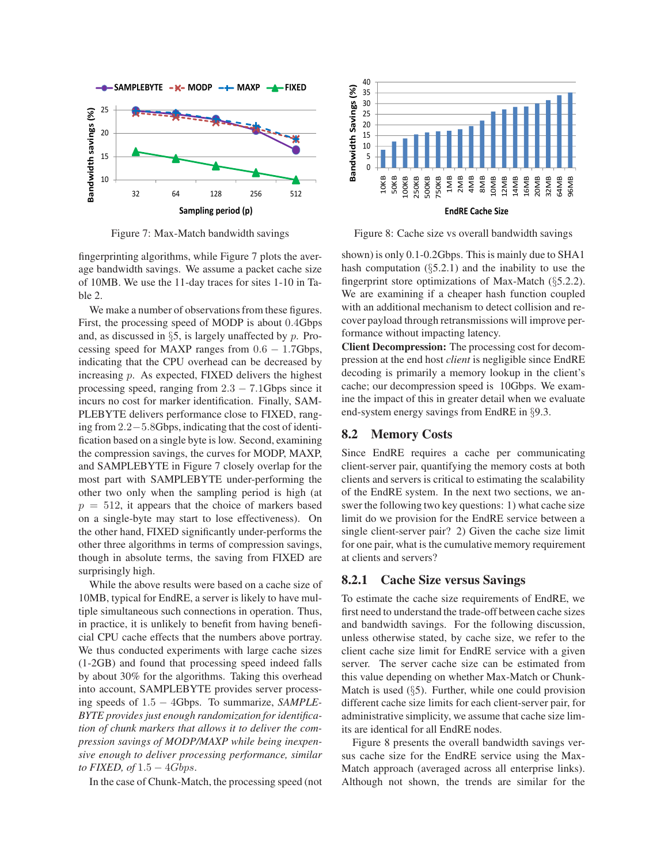

Figure 7: Max-Match bandwidth savings

fingerprinting algorithms, while Figure 7 plots the average bandwidth savings. We assume a packet cache size of 10MB. We use the 11-day traces for sites 1-10 in Table 2.

We make a number of observations from these figures. First, the processing speed of MODP is about 0.4Gbps and, as discussed in  $\S5$ , is largely unaffected by p. Processing speed for MAXP ranges from  $0.6 - 1.7$ Gbps, indicating that the CPU overhead can be decreased by increasing p. As expected, FIXED delivers the highest processing speed, ranging from  $2.3 - 7.1$ Gbps since it incurs no cost for marker identification. Finally, SAM-PLEBYTE delivers performance close to FIXED, ranging from 2.2−5.8Gbps, indicating that the cost of identification based on a single byte is low. Second, examining the compression savings, the curves for MODP, MAXP, and SAMPLEBYTE in Figure 7 closely overlap for the most part with SAMPLEBYTE under-performing the other two only when the sampling period is high (at  $p = 512$ , it appears that the choice of markers based on a single-byte may start to lose effectiveness). On the other hand, FIXED significantly under-performs the other three algorithms in terms of compression savings, though in absolute terms, the saving from FIXED are surprisingly high.

While the above results were based on a cache size of 10MB, typical for EndRE, a server is likely to have multiple simultaneous such connections in operation. Thus, in practice, it is unlikely to benefit from having beneficial CPU cache effects that the numbers above portray. We thus conducted experiments with large cache sizes (1-2GB) and found that processing speed indeed falls by about 30% for the algorithms. Taking this overhead into account, SAMPLEBYTE provides server processing speeds of 1.5 − 4Gbps. To summarize, *SAMPLE-BYTE provides just enough randomization for identification of chunk markers that allows it to deliver the compression savings of MODP/MAXP while being inexpensive enough to deliver processing performance, similar to FIXED, of* 1.5 − 4Gbps.

In the case of Chunk-Match, the processing speed (not



Figure 8: Cache size vs overall bandwidth savings

shown) is only 0.1-0.2Gbps. This is mainly due to SHA1 hash computation  $(\S 5.2.1)$  and the inability to use the fingerprint store optimizations of Max-Match (§5.2.2). We are examining if a cheaper hash function coupled with an additional mechanism to detect collision and recover payload through retransmissions will improve performance without impacting latency.

**Client Decompression:** The processing cost for decompression at the end host *client* is negligible since EndRE decoding is primarily a memory lookup in the client's cache; our decompression speed is 10Gbps. We examine the impact of this in greater detail when we evaluate end-system energy savings from EndRE in §9.3.

#### **8.2 Memory Costs**

Since EndRE requires a cache per communicating client-server pair, quantifying the memory costs at both clients and servers is critical to estimating the scalability of the EndRE system. In the next two sections, we answer the following two key questions: 1) what cache size limit do we provision for the EndRE service between a single client-server pair? 2) Given the cache size limit for one pair, what is the cumulative memory requirement at clients and servers?

#### **8.2.1 Cache Size versus Savings**

To estimate the cache size requirements of EndRE, we first need to understand the trade-off between cache sizes and bandwidth savings. For the following discussion, unless otherwise stated, by cache size, we refer to the client cache size limit for EndRE service with a given server. The server cache size can be estimated from this value depending on whether Max-Match or Chunk-Match is used  $(\S$ 5). Further, while one could provision different cache size limits for each client-server pair, for administrative simplicity, we assume that cache size limits are identical for all EndRE nodes.

Figure 8 presents the overall bandwidth savings versus cache size for the EndRE service using the Max-Match approach (averaged across all enterprise links). Although not shown, the trends are similar for the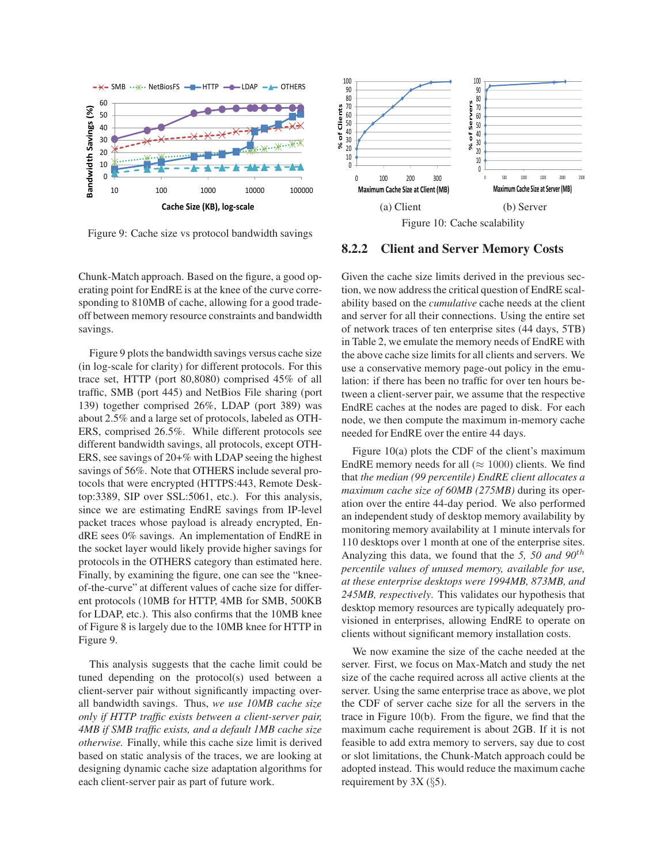

Figure 9: Cache size vs protocol bandwidth savings

Chunk-Match approach. Based on the figure, a good operating point for EndRE is at the knee of the curve corresponding to 810MB of cache, allowing for a good tradeoff between memory resource constraints and bandwidth savings.

Figure 9 plots the bandwidth savings versus cache size (in log-scale for clarity) for different protocols. For this trace set, HTTP (port 80,8080) comprised 45% of all traffic, SMB (port 445) and NetBios File sharing (port 139) together comprised 26%, LDAP (port 389) was about 2.5% and a large set of protocols, labeled as OTH-ERS, comprised 26.5%. While different protocols see different bandwidth savings, all protocols, except OTH-ERS, see savings of 20+% with LDAP seeing the highest savings of 56%. Note that OTHERS include several protocols that were encrypted (HTTPS:443, Remote Desktop:3389, SIP over SSL:5061, etc.). For this analysis, since we are estimating EndRE savings from IP-level packet traces whose payload is already encrypted, EndRE sees 0% savings. An implementation of EndRE in the socket layer would likely provide higher savings for protocols in the OTHERS category than estimated here. Finally, by examining the figure, one can see the "kneeof-the-curve" at different values of cache size for different protocols (10MB for HTTP, 4MB for SMB, 500KB for LDAP, etc.). This also confirms that the 10MB knee of Figure 8 is largely due to the 10MB knee for HTTP in Figure 9.

This analysis suggests that the cache limit could be tuned depending on the protocol(s) used between a client-server pair without significantly impacting overall bandwidth savings. Thus, *we use 10MB cache size only if HTTP traffic exists between a client-server pair, 4MB if SMB traffic exists, and a default 1MB cache size otherwise.* Finally, while this cache size limit is derived based on static analysis of the traces, we are looking at designing dynamic cache size adaptation algorithms for each client-server pair as part of future work.



## **8.2.2 Client and Server Memory Costs**

Given the cache size limits derived in the previous section, we now address the critical question of EndRE scalability based on the *cumulative* cache needs at the client and server for all their connections. Using the entire set of network traces of ten enterprise sites (44 days, 5TB) in Table 2, we emulate the memory needs of EndRE with the above cache size limits for all clients and servers. We use a conservative memory page-out policy in the emulation: if there has been no traffic for over ten hours between a client-server pair, we assume that the respective EndRE caches at the nodes are paged to disk. For each node, we then compute the maximum in-memory cache needed for EndRE over the entire 44 days.

Figure 10(a) plots the CDF of the client's maximum EndRE memory needs for all ( $\approx 1000$ ) clients. We find that *the median (99 percentile) EndRE client allocates a maximum cache size of 60MB (275MB)* during its operation over the entire 44-day period. We also performed an independent study of desktop memory availability by monitoring memory availability at 1 minute intervals for 110 desktops over 1 month at one of the enterprise sites. Analyzing this data, we found that the *5, 50 and 90*th *percentile values of unused memory, available for use, at these enterprise desktops were 1994MB, 873MB, and 245MB, respectively*. This validates our hypothesis that desktop memory resources are typically adequately provisioned in enterprises, allowing EndRE to operate on clients without significant memory installation costs.

We now examine the size of the cache needed at the server. First, we focus on Max-Match and study the net size of the cache required across all active clients at the server. Using the same enterprise trace as above, we plot the CDF of server cache size for all the servers in the trace in Figure 10(b). From the figure, we find that the maximum cache requirement is about 2GB. If it is not feasible to add extra memory to servers, say due to cost or slot limitations, the Chunk-Match approach could be adopted instead. This would reduce the maximum cache requirement by  $3X$  (§5).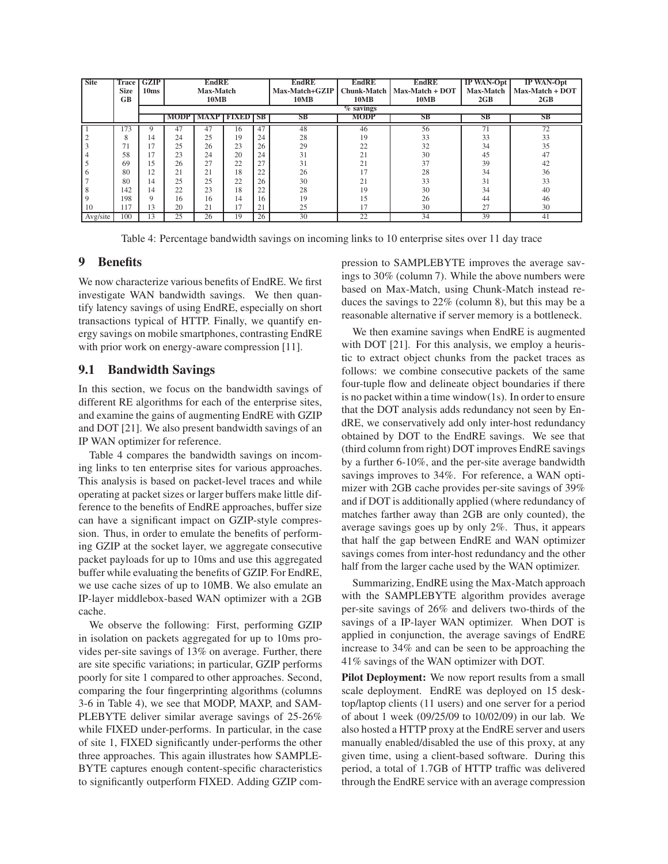| <b>Site</b> | Trace<br><b>Size</b><br><b>GB</b> | <b>GZIP</b><br>10ms | <b>EndRE</b><br>Max-Match<br><b>10MB</b> |    |                                 |    | <b>EndRE</b><br>Max-Match+GZIP<br><b>10MB</b> | <b>EndRE</b><br><b>Chunk-Match</b><br><b>10MB</b> | <b>EndRE</b><br>Max-Match + DOT<br><b>10MB</b> | <b>IP WAN-Opt</b><br>Max-Match<br>2GB | IP WAN-Opt<br>Max-Match + DOT<br>2GB |
|-------------|-----------------------------------|---------------------|------------------------------------------|----|---------------------------------|----|-----------------------------------------------|---------------------------------------------------|------------------------------------------------|---------------------------------------|--------------------------------------|
|             |                                   |                     |                                          |    |                                 |    | $\overline{\%}$ savings                       |                                                   |                                                |                                       |                                      |
|             |                                   |                     |                                          |    | <b>MODP   MAXP   FIXED   SB</b> |    | SB                                            | <b>MODP</b>                                       | <b>SB</b>                                      | SB                                    | <b>SB</b>                            |
|             | 173                               |                     | 47                                       | 47 | 16                              | 47 | 48                                            | 46                                                | 56                                             | 71                                    | 72                                   |
|             | х                                 | 14                  | 24                                       | 25 | 19                              | 24 | 28                                            | 19                                                | 33                                             | 33                                    | 33                                   |
|             | 71                                | 17                  | 25                                       | 26 | 23                              | 26 | 29                                            | 22                                                | 32                                             | 34                                    | 35                                   |
|             | 58                                | 1 <sub>7</sub>      | 23                                       | 24 | 20                              | 24 | 31                                            | 21                                                | 30                                             | 45                                    | 47                                   |
|             | 69                                | 15                  | 26                                       | 27 | 22                              | 27 | 31                                            | 21                                                | 37                                             | 39                                    | 42                                   |
|             | 80                                | 12                  | 21                                       | 21 | 18                              | 22 | 26                                            | 17                                                | 28                                             | 34                                    | 36                                   |
|             | 80                                | 14                  | 25                                       | 25 | 22                              | 26 | 30                                            | 21                                                | 33                                             | 31                                    | 33                                   |
|             | 142                               | 14                  | 22                                       | 23 | 18                              | 22 | 28                                            | 19                                                | 30                                             | 34                                    | 40                                   |
|             | 198                               | $\mathbf Q$         | 16                                       | 16 | 14                              | 16 | 19                                            | 15                                                | 26                                             | 44                                    | 46                                   |
| 10          | 117                               | 13                  | 20                                       | 21 | 17                              | 21 | 25                                            | 17                                                | 30                                             | 27                                    | 30                                   |
| Avg/site    | 100                               | 13                  | 25                                       | 26 | 19                              | 26 | 30                                            | 22                                                | $\overline{34}$                                | 39                                    | 41                                   |

Table 4: Percentage bandwidth savings on incoming links to 10 enterprise sites over 11 day trace

## **9 Benefits**

We now characterize various benefits of EndRE. We first investigate WAN bandwidth savings. We then quantify latency savings of using EndRE, especially on short transactions typical of HTTP. Finally, we quantify energy savings on mobile smartphones, contrasting EndRE with prior work on energy-aware compression [11].

## **9.1 Bandwidth Savings**

In this section, we focus on the bandwidth savings of different RE algorithms for each of the enterprise sites, and examine the gains of augmenting EndRE with GZIP and DOT [21]. We also present bandwidth savings of an IP WAN optimizer for reference.

Table 4 compares the bandwidth savings on incoming links to ten enterprise sites for various approaches. This analysis is based on packet-level traces and while operating at packet sizes or larger buffers make little difference to the benefits of EndRE approaches, buffer size can have a significant impact on GZIP-style compression. Thus, in order to emulate the benefits of performing GZIP at the socket layer, we aggregate consecutive packet payloads for up to 10ms and use this aggregated buffer while evaluating the benefits of GZIP. For EndRE, we use cache sizes of up to 10MB. We also emulate an IP-layer middlebox-based WAN optimizer with a 2GB cache.

We observe the following: First, performing GZIP in isolation on packets aggregated for up to 10ms provides per-site savings of 13% on average. Further, there are site specific variations; in particular, GZIP performs poorly for site 1 compared to other approaches. Second, comparing the four fingerprinting algorithms (columns 3-6 in Table 4), we see that MODP, MAXP, and SAM-PLEBYTE deliver similar average savings of 25-26% while FIXED under-performs. In particular, in the case of site 1, FIXED significantly under-performs the other three approaches. This again illustrates how SAMPLE-BYTE captures enough content-specific characteristics to significantly outperform FIXED. Adding GZIP compression to SAMPLEBYTE improves the average savings to 30% (column 7). While the above numbers were based on Max-Match, using Chunk-Match instead reduces the savings to 22% (column 8), but this may be a reasonable alternative if server memory is a bottleneck.

We then examine savings when EndRE is augmented with DOT [21]. For this analysis, we employ a heuristic to extract object chunks from the packet traces as follows: we combine consecutive packets of the same four-tuple flow and delineate object boundaries if there is no packet within a time window(1s). In order to ensure that the DOT analysis adds redundancy not seen by EndRE, we conservatively add only inter-host redundancy obtained by DOT to the EndRE savings. We see that (third column from right) DOT improves EndRE savings by a further 6-10%, and the per-site average bandwidth savings improves to 34%. For reference, a WAN optimizer with 2GB cache provides per-site savings of 39% and if DOT is additionally applied (where redundancy of matches farther away than 2GB are only counted), the average savings goes up by only 2%. Thus, it appears that half the gap between EndRE and WAN optimizer savings comes from inter-host redundancy and the other half from the larger cache used by the WAN optimizer.

Summarizing, EndRE using the Max-Match approach with the SAMPLEBYTE algorithm provides average per-site savings of 26% and delivers two-thirds of the savings of a IP-layer WAN optimizer. When DOT is applied in conjunction, the average savings of EndRE increase to 34% and can be seen to be approaching the 41% savings of the WAN optimizer with DOT.

**Pilot Deployment:** We now report results from a small scale deployment. EndRE was deployed on 15 desktop/laptop clients (11 users) and one server for a period of about 1 week (09/25/09 to 10/02/09) in our lab. We also hosted a HTTP proxy at the EndRE server and users manually enabled/disabled the use of this proxy, at any given time, using a client-based software. During this period, a total of 1.7GB of HTTP traffic was delivered through the EndRE service with an average compression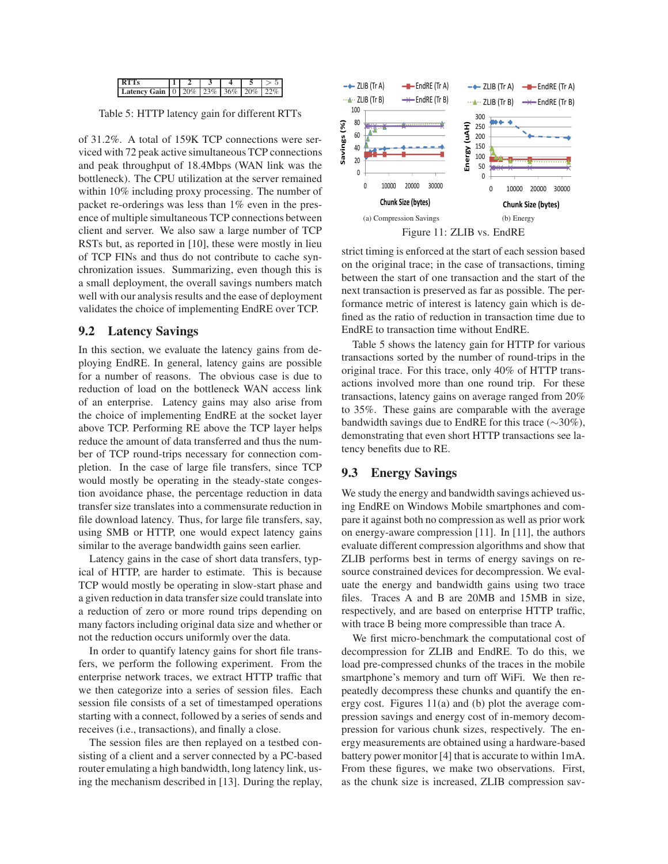

Table 5: HTTP latency gain for different RTTs

of 31.2%. A total of 159K TCP connections were serviced with 72 peak active simultaneous TCP connections and peak throughput of 18.4Mbps (WAN link was the bottleneck). The CPU utilization at the server remained within 10% including proxy processing. The number of packet re-orderings was less than 1% even in the presence of multiple simultaneous TCP connections between client and server. We also saw a large number of TCP RSTs but, as reported in [10], these were mostly in lieu of TCP FINs and thus do not contribute to cache synchronization issues. Summarizing, even though this is a small deployment, the overall savings numbers match well with our analysis results and the ease of deployment validates the choice of implementing EndRE over TCP.

## **9.2 Latency Savings**

In this section, we evaluate the latency gains from deploying EndRE. In general, latency gains are possible for a number of reasons. The obvious case is due to reduction of load on the bottleneck WAN access link of an enterprise. Latency gains may also arise from the choice of implementing EndRE at the socket layer above TCP. Performing RE above the TCP layer helps reduce the amount of data transferred and thus the number of TCP round-trips necessary for connection completion. In the case of large file transfers, since TCP would mostly be operating in the steady-state congestion avoidance phase, the percentage reduction in data transfer size translates into a commensurate reduction in file download latency. Thus, for large file transfers, say, using SMB or HTTP, one would expect latency gains similar to the average bandwidth gains seen earlier.

Latency gains in the case of short data transfers, typical of HTTP, are harder to estimate. This is because TCP would mostly be operating in slow-start phase and a given reduction in data transfer size could translate into a reduction of zero or more round trips depending on many factors including original data size and whether or not the reduction occurs uniformly over the data.

In order to quantify latency gains for short file transfers, we perform the following experiment. From the enterprise network traces, we extract HTTP traffic that we then categorize into a series of session files. Each session file consists of a set of timestamped operations starting with a connect, followed by a series of sends and receives (i.e., transactions), and finally a close.

The session files are then replayed on a testbed consisting of a client and a server connected by a PC-based router emulating a high bandwidth, long latency link, using the mechanism described in [13]. During the replay,



strict timing is enforced at the start of each session based on the original trace; in the case of transactions, timing between the start of one transaction and the start of the next transaction is preserved as far as possible. The performance metric of interest is latency gain which is defined as the ratio of reduction in transaction time due to EndRE to transaction time without EndRE.

Table 5 shows the latency gain for HTTP for various transactions sorted by the number of round-trips in the original trace. For this trace, only 40% of HTTP transactions involved more than one round trip. For these transactions, latency gains on average ranged from 20% to 35%. These gains are comparable with the average bandwidth savings due to EndRE for this trace (∼30%), demonstrating that even short HTTP transactions see latency benefits due to RE.

## **9.3 Energy Savings**

We study the energy and bandwidth savings achieved using EndRE on Windows Mobile smartphones and compare it against both no compression as well as prior work on energy-aware compression [11]. In [11], the authors evaluate different compression algorithms and show that ZLIB performs best in terms of energy savings on resource constrained devices for decompression. We evaluate the energy and bandwidth gains using two trace files. Traces A and B are 20MB and 15MB in size, respectively, and are based on enterprise HTTP traffic, with trace B being more compressible than trace A.

We first micro-benchmark the computational cost of decompression for ZLIB and EndRE. To do this, we load pre-compressed chunks of the traces in the mobile smartphone's memory and turn off WiFi. We then repeatedly decompress these chunks and quantify the energy cost. Figures 11(a) and (b) plot the average compression savings and energy cost of in-memory decompression for various chunk sizes, respectively. The energy measurements are obtained using a hardware-based battery power monitor [4] that is accurate to within 1mA. From these figures, we make two observations. First, as the chunk size is increased, ZLIB compression sav-